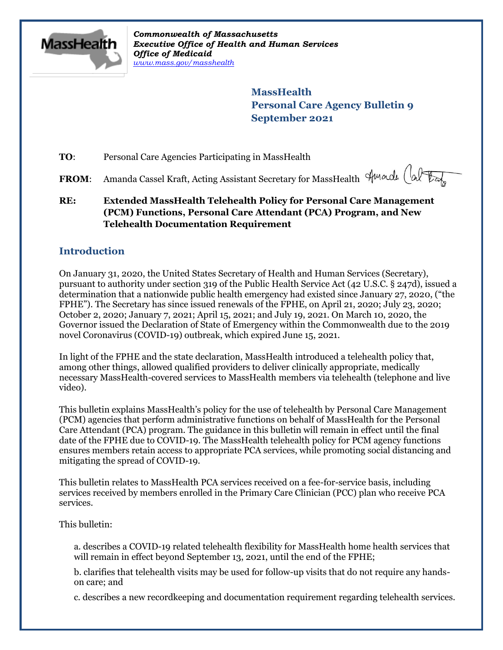

*Commonwealth of Massachusetts Executive Office of Health and Human Services Office of Medicaid [www.mass.gov/masshealth](http://www.mass.gov/masshealth)*

> **MassHealth Personal Care Agency Bulletin 9 September 2021**

**TO**: Personal Care Agencies Participating in MassHealth

FROM: Amanda Cassel Kraft, Acting Assistant Secretary for MassHealth Amade (alter

**RE: Extended MassHealth Telehealth Policy for Personal Care Management (PCM) Functions, Personal Care Attendant (PCA) Program, and New Telehealth Documentation Requirement**

# **Introduction**

On January 31, 2020, the United States Secretary of Health and Human Services (Secretary), pursuant to authority under section 319 of the Public Health Service Act (42 U.S.C. § 247d), issued a determination that a nationwide public health emergency had existed since January 27, 2020, ("the FPHE"). The Secretary has since issued renewals of the FPHE, on April 21, 2020; July 23, 2020; October 2, 2020; January 7, 2021; April 15, 2021; and July 19, 2021. On March 10, 2020, the Governor issued the Declaration of State of Emergency within the Commonwealth due to the 2019 novel Coronavirus (COVID-19) outbreak, which expired June 15, 2021.

In light of the FPHE and the state declaration, MassHealth introduced a telehealth policy that, among other things, allowed qualified providers to deliver clinically appropriate, medically necessary MassHealth-covered services to MassHealth members via telehealth (telephone and live video).

This bulletin explains MassHealth's policy for the use of telehealth by Personal Care Management (PCM) agencies that perform administrative functions on behalf of MassHealth for the Personal Care Attendant (PCA) program. The guidance in this bulletin will remain in effect until the final date of the FPHE due to COVID-19. The MassHealth telehealth policy for PCM agency functions ensures members retain access to appropriate PCA services, while promoting social distancing and mitigating the spread of COVID-19.

This bulletin relates to MassHealth PCA services received on a fee-for-service basis, including services received by members enrolled in the Primary Care Clinician (PCC) plan who receive PCA services.

This bulletin:

a. describes a COVID-19 related telehealth flexibility for MassHealth home health services that will remain in effect beyond September 13, 2021, until the end of the FPHE;

b. clarifies that telehealth visits may be used for follow-up visits that do not require any handson care; and

c. describes a new recordkeeping and documentation requirement regarding telehealth services.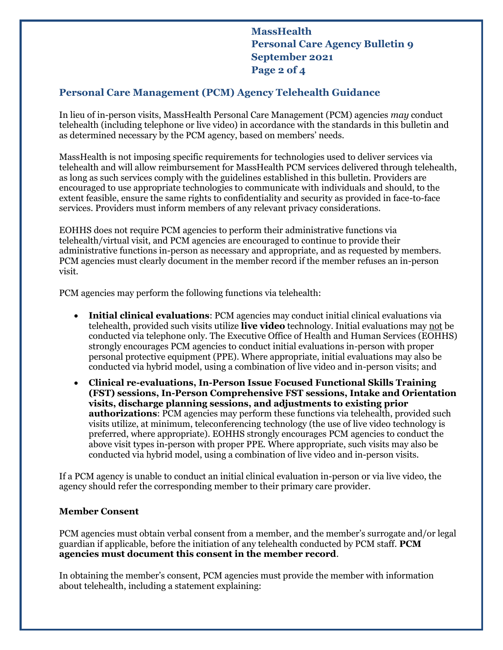**MassHealth Personal Care Agency Bulletin 9 September 2021 Page 2 of 4**

## **Personal Care Management (PCM) Agency Telehealth Guidance**

In lieu of in-person visits, MassHealth Personal Care Management (PCM) agencies *may* conduct telehealth (including telephone or live video) in accordance with the standards in this bulletin and as determined necessary by the PCM agency, based on members' needs.

MassHealth is not imposing specific requirements for technologies used to deliver services via telehealth and will allow reimbursement for MassHealth PCM services delivered through telehealth, as long as such services comply with the guidelines established in this bulletin. Providers are encouraged to use appropriate technologies to communicate with individuals and should, to the extent feasible, ensure the same rights to confidentiality and security as provided in face-to-face services. Providers must inform members of any relevant privacy considerations.

EOHHS does not require PCM agencies to perform their administrative functions via telehealth/virtual visit, and PCM agencies are encouraged to continue to provide their administrative functions in-person as necessary and appropriate, and as requested by members. PCM agencies must clearly document in the member record if the member refuses an in-person visit.

PCM agencies may perform the following functions via telehealth:

- **Initial clinical evaluations**: PCM agencies may conduct initial clinical evaluations via telehealth, provided such visits utilize **live video** technology. Initial evaluations may not be conducted via telephone only. The Executive Office of Health and Human Services (EOHHS) strongly encourages PCM agencies to conduct initial evaluations in-person with proper personal protective equipment (PPE). Where appropriate, initial evaluations may also be conducted via hybrid model, using a combination of live video and in-person visits; and
- **Clinical re-evaluations, In-Person Issue Focused Functional Skills Training (FST) sessions, In-Person Comprehensive FST sessions, Intake and Orientation visits, discharge planning sessions, and adjustments to existing prior authorizations**: PCM agencies may perform these functions via telehealth, provided such visits utilize, at minimum, teleconferencing technology (the use of live video technology is preferred, where appropriate). EOHHS strongly encourages PCM agencies to conduct the above visit types in-person with proper PPE. Where appropriate, such visits may also be conducted via hybrid model, using a combination of live video and in-person visits.

If a PCM agency is unable to conduct an initial clinical evaluation in-person or via live video, the agency should refer the corresponding member to their primary care provider.

### **Member Consent**

PCM agencies must obtain verbal consent from a member, and the member's surrogate and/or legal guardian if applicable, before the initiation of any telehealth conducted by PCM staff. **PCM agencies must document this consent in the member record**.

In obtaining the member's consent, PCM agencies must provide the member with information about telehealth, including a statement explaining: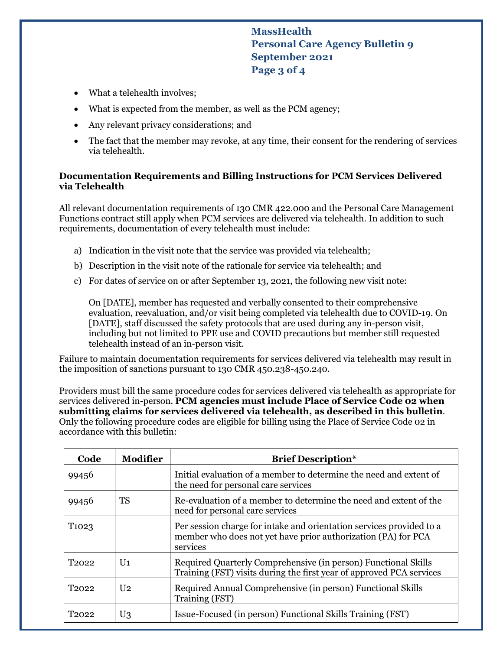**MassHealth Personal Care Agency Bulletin 9 September 2021 Page 3 of 4**

- What a telehealth involves;
- What is expected from the member, as well as the PCM agency;
- Any relevant privacy considerations; and
- The fact that the member may revoke, at any time, their consent for the rendering of services via telehealth.

#### **Documentation Requirements and Billing Instructions for PCM Services Delivered via Telehealth**

All relevant documentation requirements of 130 CMR 422.000 and the Personal Care Management Functions contract still apply when PCM services are delivered via telehealth. In addition to such requirements, documentation of every telehealth must include:

- a) Indication in the visit note that the service was provided via telehealth;
- b) Description in the visit note of the rationale for service via telehealth; and
- c) For dates of service on or after September 13, 2021, the following new visit note:

On [DATE], member has requested and verbally consented to their comprehensive evaluation, reevaluation, and/or visit being completed via telehealth due to COVID-19. On [DATE], staff discussed the safety protocols that are used during any in-person visit, including but not limited to PPE use and COVID precautions but member still requested telehealth instead of an in-person visit.

Failure to maintain documentation requirements for services delivered via telehealth may result in the imposition of sanctions pursuant to 130 CMR 450.238-450.240.

Providers must bill the same procedure codes for services delivered via telehealth as appropriate for services delivered in-person. **PCM agencies must include Place of Service Code 02 when submitting claims for services delivered via telehealth, as described in this bulletin**. Only the following procedure codes are eligible for billing using the Place of Service Code 02 in accordance with this bulletin:

| Code              | <b>Modifier</b> | <b>Brief Description*</b>                                                                                                                         |
|-------------------|-----------------|---------------------------------------------------------------------------------------------------------------------------------------------------|
| 99456             |                 | Initial evaluation of a member to determine the need and extent of<br>the need for personal care services                                         |
| 99456             | TS              | Re-evaluation of a member to determine the need and extent of the<br>need for personal care services                                              |
| T <sub>1023</sub> |                 | Per session charge for intake and orientation services provided to a<br>member who does not yet have prior authorization (PA) for PCA<br>services |
| T <sub>2022</sub> | $U_1$           | Required Quarterly Comprehensive (in person) Functional Skills<br>Training (FST) visits during the first year of approved PCA services            |
| T <sub>2022</sub> | U <sub>2</sub>  | Required Annual Comprehensive (in person) Functional Skills<br>Training (FST)                                                                     |
| T2022             | $U_3$           | Issue-Focused (in person) Functional Skills Training (FST)                                                                                        |